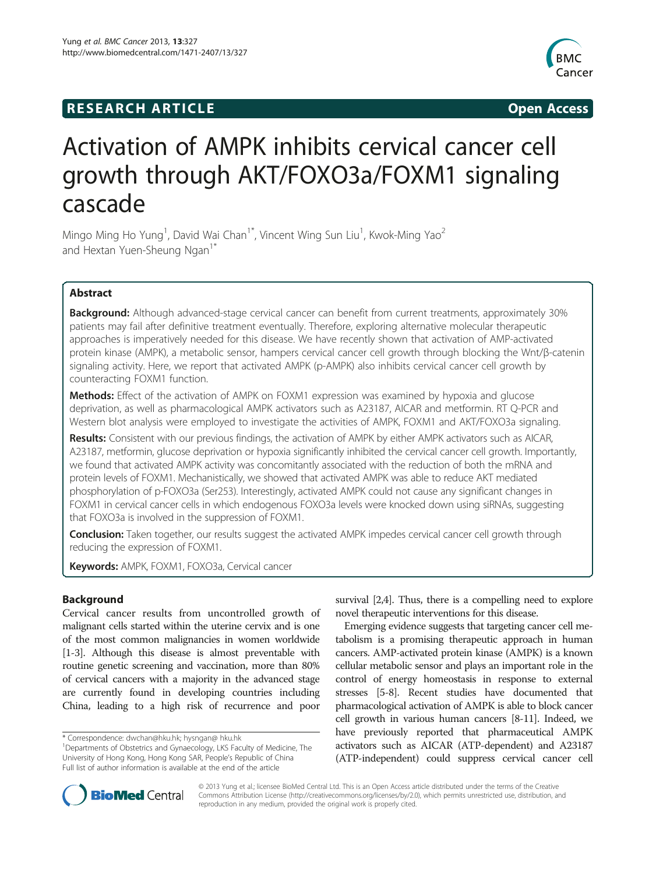## **RESEARCH ARTICLE Example 2014 12:30 The SEAR CHA RESEARCH ARTICLE**



# Activation of AMPK inhibits cervical cancer cell growth through AKT/FOXO3a/FOXM1 signaling cascade

Mingo Ming Ho Yung<sup>1</sup>, David Wai Chan<sup>1\*</sup>, Vincent Wing Sun Liu<sup>1</sup>, Kwok-Ming Yao<sup>2</sup> and Hextan Yuen-Sheung Ngan<sup>1\*</sup>

## Abstract

Background: Although advanced-stage cervical cancer can benefit from current treatments, approximately 30% patients may fail after definitive treatment eventually. Therefore, exploring alternative molecular therapeutic approaches is imperatively needed for this disease. We have recently shown that activation of AMP-activated protein kinase (AMPK), a metabolic sensor, hampers cervical cancer cell growth through blocking the Wnt/β-catenin signaling activity. Here, we report that activated AMPK (p-AMPK) also inhibits cervical cancer cell growth by counteracting FOXM1 function.

**Methods:** Effect of the activation of AMPK on FOXM1 expression was examined by hypoxia and glucose deprivation, as well as pharmacological AMPK activators such as A23187, AICAR and metformin. RT Q-PCR and Western blot analysis were employed to investigate the activities of AMPK, FOXM1 and AKT/FOXO3a signaling.

Results: Consistent with our previous findings, the activation of AMPK by either AMPK activators such as AICAR, A23187, metformin, glucose deprivation or hypoxia significantly inhibited the cervical cancer cell growth. Importantly, we found that activated AMPK activity was concomitantly associated with the reduction of both the mRNA and protein levels of FOXM1. Mechanistically, we showed that activated AMPK was able to reduce AKT mediated phosphorylation of p-FOXO3a (Ser253). Interestingly, activated AMPK could not cause any significant changes in FOXM1 in cervical cancer cells in which endogenous FOXO3a levels were knocked down using siRNAs, suggesting that FOXO3a is involved in the suppression of FOXM1.

Conclusion: Taken together, our results suggest the activated AMPK impedes cervical cancer cell growth through reducing the expression of FOXM1.

Keywords: AMPK, FOXM1, FOXO3a, Cervical cancer

## Background

Cervical cancer results from uncontrolled growth of malignant cells started within the uterine cervix and is one of the most common malignancies in women worldwide [[1](#page-6-0)-[3\]](#page-6-0). Although this disease is almost preventable with routine genetic screening and vaccination, more than 80% of cervical cancers with a majority in the advanced stage are currently found in developing countries including China, leading to a high risk of recurrence and poor

survival [\[2,4\]](#page-6-0). Thus, there is a compelling need to explore novel therapeutic interventions for this disease.

Emerging evidence suggests that targeting cancer cell metabolism is a promising therapeutic approach in human cancers. AMP-activated protein kinase (AMPK) is a known cellular metabolic sensor and plays an important role in the control of energy homeostasis in response to external stresses [\[5-8\]](#page-6-0). Recent studies have documented that pharmacological activation of AMPK is able to block cancer cell growth in various human cancers [\[8](#page-6-0)-[11\]](#page-6-0). Indeed, we have previously reported that pharmaceutical AMPK activators such as AICAR (ATP-dependent) and A23187 (ATP-independent) could suppress cervical cancer cell



© 2013 Yung et al.; licensee BioMed Central Ltd. This is an Open Access article distributed under the terms of the Creative Commons Attribution License [\(http://creativecommons.org/licenses/by/2.0\)](http://creativecommons.org/licenses/by/2.0), which permits unrestricted use, distribution, and reproduction in any medium, provided the original work is properly cited.

<sup>\*</sup> Correspondence: [dwchan@hku.hk](mailto:dwchan@hku.hk); [hysngan@ hku.hk](mailto:hysngan@ hku.hk) <sup>1</sup>

<sup>&</sup>lt;sup>1</sup>Departments of Obstetrics and Gynaecology, LKS Faculty of Medicine, The University of Hong Kong, Hong Kong SAR, People's Republic of China Full list of author information is available at the end of the article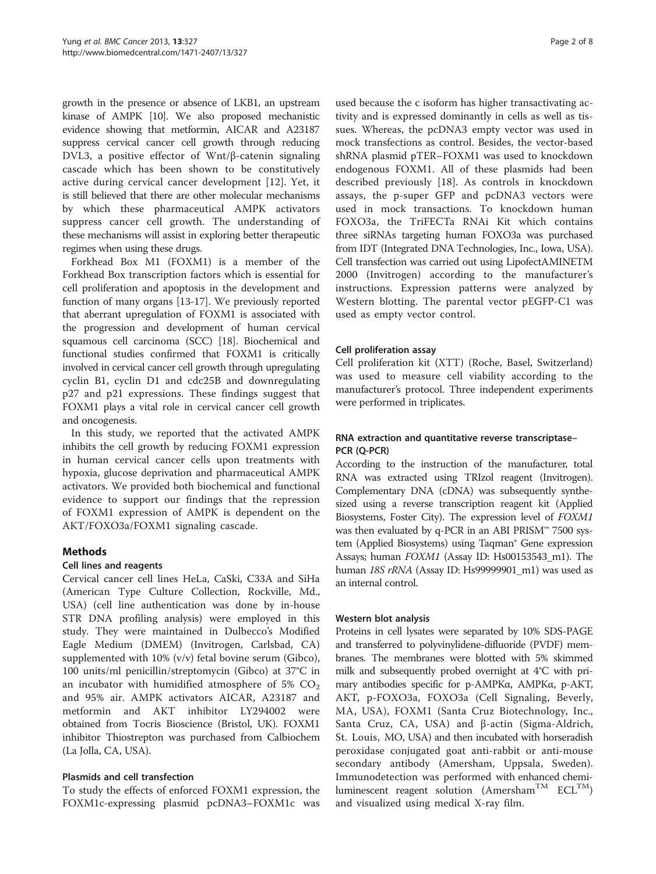growth in the presence or absence of LKB1, an upstream kinase of AMPK [[10\]](#page-6-0). We also proposed mechanistic evidence showing that metformin, AICAR and A23187 suppress cervical cancer cell growth through reducing DVL3, a positive effector of Wnt/β-catenin signaling cascade which has been shown to be constitutively active during cervical cancer development [[12\]](#page-6-0). Yet, it is still believed that there are other molecular mechanisms by which these pharmaceutical AMPK activators suppress cancer cell growth. The understanding of these mechanisms will assist in exploring better therapeutic regimes when using these drugs.

Forkhead Box M1 (FOXM1) is a member of the Forkhead Box transcription factors which is essential for cell proliferation and apoptosis in the development and function of many organs [\[13](#page-6-0)[-17](#page-7-0)]. We previously reported that aberrant upregulation of FOXM1 is associated with the progression and development of human cervical squamous cell carcinoma (SCC) [\[18](#page-7-0)]. Biochemical and functional studies confirmed that FOXM1 is critically involved in cervical cancer cell growth through upregulating cyclin B1, cyclin D1 and cdc25B and downregulating p27 and p21 expressions. These findings suggest that FOXM1 plays a vital role in cervical cancer cell growth and oncogenesis.

In this study, we reported that the activated AMPK inhibits the cell growth by reducing FOXM1 expression in human cervical cancer cells upon treatments with hypoxia, glucose deprivation and pharmaceutical AMPK activators. We provided both biochemical and functional evidence to support our findings that the repression of FOXM1 expression of AMPK is dependent on the AKT/FOXO3a/FOXM1 signaling cascade.

## Methods

## Cell lines and reagents

Cervical cancer cell lines HeLa, CaSki, C33A and SiHa (American Type Culture Collection, Rockville, Md., USA) (cell line authentication was done by in-house STR DNA profiling analysis) were employed in this study. They were maintained in Dulbecco's Modified Eagle Medium (DMEM) (Invitrogen, Carlsbad, CA) supplemented with 10% (v/v) fetal bovine serum (Gibco), 100 units/ml penicillin/streptomycin (Gibco) at 37°C in an incubator with humidified atmosphere of 5%  $CO<sub>2</sub>$ and 95% air. AMPK activators AICAR, A23187 and metformin and AKT inhibitor LY294002 were obtained from Tocris Bioscience (Bristol, UK). FOXM1 inhibitor Thiostrepton was purchased from Calbiochem (La Jolla, CA, USA).

## Plasmids and cell transfection

To study the effects of enforced FOXM1 expression, the FOXM1c-expressing plasmid pcDNA3–FOXM1c was

used because the c isoform has higher transactivating activity and is expressed dominantly in cells as well as tissues. Whereas, the pcDNA3 empty vector was used in mock transfections as control. Besides, the vector-based shRNA plasmid pTER–FOXM1 was used to knockdown endogenous FOXM1. All of these plasmids had been described previously [[18\]](#page-7-0). As controls in knockdown assays, the p-super GFP and pcDNA3 vectors were used in mock transactions. To knockdown human FOXO3a, the TriFECTa RNAi Kit which contains three siRNAs targeting human FOXO3a was purchased from IDT (Integrated DNA Technologies, Inc., Iowa, USA). Cell transfection was carried out using LipofectAMINETM 2000 (Invitrogen) according to the manufacturer's instructions. Expression patterns were analyzed by Western blotting. The parental vector pEGFP-C1 was used as empty vector control.

## Cell proliferation assay

Cell proliferation kit (XTT) (Roche, Basel, Switzerland) was used to measure cell viability according to the manufacturer's protocol. Three independent experiments were performed in triplicates.

## RNA extraction and quantitative reverse transcriptase– PCR (Q-PCR)

According to the instruction of the manufacturer, total RNA was extracted using TRIzol reagent (Invitrogen). Complementary DNA (cDNA) was subsequently synthesized using a reverse transcription reagent kit (Applied Biosystems, Foster City). The expression level of FOXM1 was then evaluated by q-PCR in an ABI PRISM™ 7500 system (Applied Biosystems) using Taqman® Gene expression Assays; human FOXM1 (Assay ID: Hs00153543\_m1). The human 18S rRNA (Assay ID: Hs99999901\_m1) was used as an internal control.

## Western blot analysis

Proteins in cell lysates were separated by 10% SDS-PAGE and transferred to polyvinylidene-difluoride (PVDF) membranes. The membranes were blotted with 5% skimmed milk and subsequently probed overnight at 4°C with primary antibodies specific for p-AMPKα, AMPKα, p-AKT, AKT, p-FOXO3a, FOXO3a (Cell Signaling, Beverly, MA, USA), FOXM1 (Santa Cruz Biotechnology, Inc., Santa Cruz, CA, USA) and β-actin (Sigma-Aldrich, St. Louis, MO, USA) and then incubated with horseradish peroxidase conjugated goat anti-rabbit or anti-mouse secondary antibody (Amersham, Uppsala, Sweden). Immunodetection was performed with enhanced chemiluminescent reagent solution (Amersham<sup>TM</sup> ECL<sup>TM</sup>) and visualized using medical X-ray film.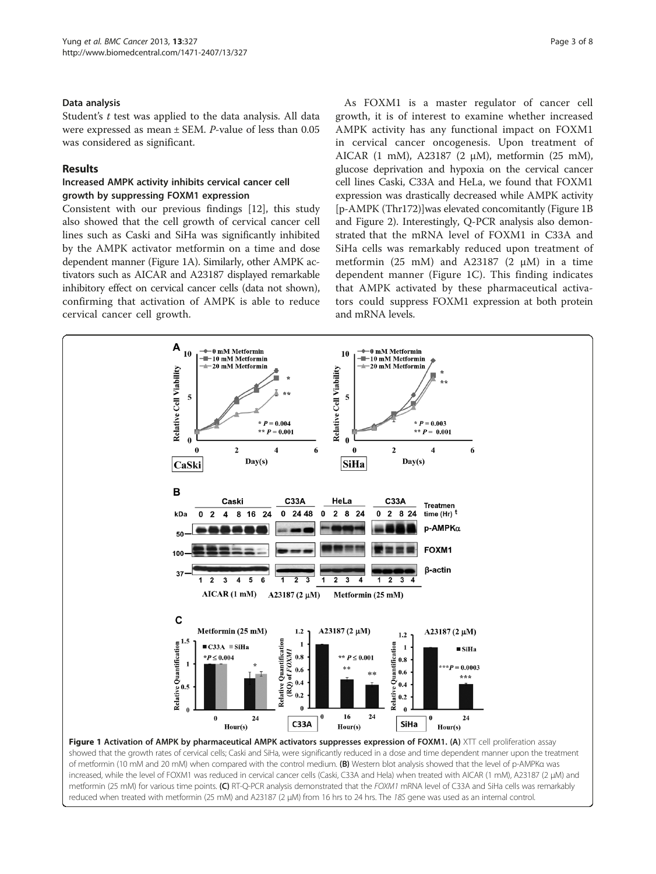#### Data analysis

Student's t test was applied to the data analysis. All data were expressed as mean ± SEM. P-value of less than 0.05 was considered as significant.

#### Results

#### Increased AMPK activity inhibits cervical cancer cell growth by suppressing FOXM1 expression

A

 $10$ 

Consistent with our previous findings [\[12](#page-6-0)], this study also showed that the cell growth of cervical cancer cell lines such as Caski and SiHa was significantly inhibited by the AMPK activator metformin on a time and dose dependent manner (Figure 1A). Similarly, other AMPK activators such as AICAR and A23187 displayed remarkable inhibitory effect on cervical cancer cells (data not shown), confirming that activation of AMPK is able to reduce cervical cancer cell growth.

→ 0 mM Metformin<br>- 10 mM Metformin

As FOXM1 is a master regulator of cancer cell growth, it is of interest to examine whether increased AMPK activity has any functional impact on FOXM1 in cervical cancer oncogenesis. Upon treatment of AICAR (1 mM), A23187 (2 μM), metformin (25 mM), glucose deprivation and hypoxia on the cervical cancer cell lines Caski, C33A and HeLa, we found that FOXM1 expression was drastically decreased while AMPK activity [p-AMPK (Thr172)]was elevated concomitantly (Figure 1B and Figure [2\)](#page-3-0). Interestingly, Q-PCR analysis also demonstrated that the mRNA level of FOXM1 in C33A and SiHa cells was remarkably reduced upon treatment of metformin (25 mM) and A23187 (2  $\mu$ M) in a time dependent manner (Figure 1C). This finding indicates that AMPK activated by these pharmaceutical activators could suppress FOXM1 expression at both protein and mRNA levels.

→ 0 mM Metformin<br>-- 10 mM Metformin

10

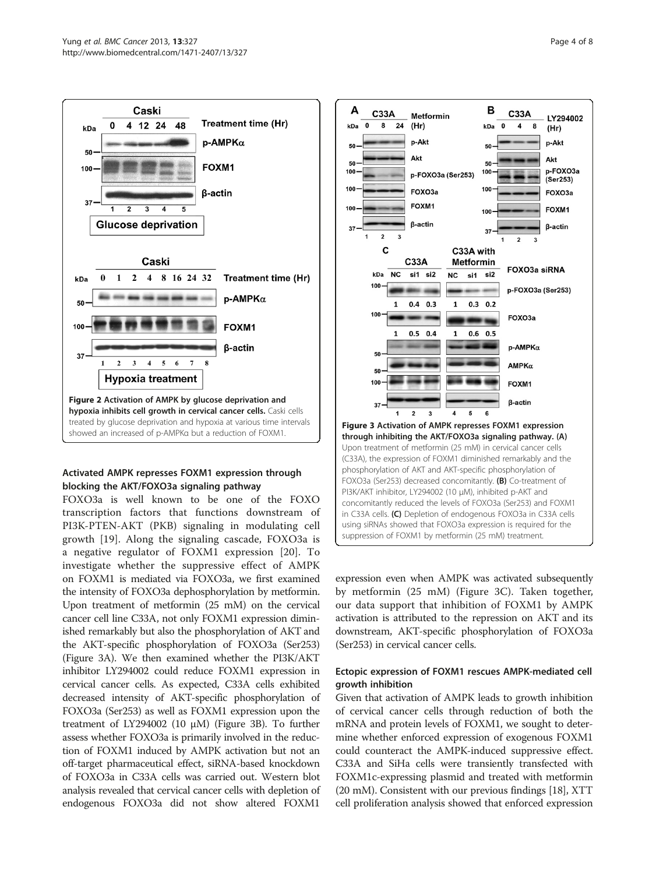<span id="page-3-0"></span>

## Activated AMPK represses FOXM1 expression through blocking the AKT/FOXO3a signaling pathway

FOXO3a is well known to be one of the FOXO transcription factors that functions downstream of PI3K-PTEN-AKT (PKB) signaling in modulating cell growth [[19](#page-7-0)]. Along the signaling cascade, FOXO3a is a negative regulator of FOXM1 expression [\[20\]](#page-7-0). To investigate whether the suppressive effect of AMPK on FOXM1 is mediated via FOXO3a, we first examined the intensity of FOXO3a dephosphorylation by metformin. Upon treatment of metformin (25 mM) on the cervical cancer cell line C33A, not only FOXM1 expression diminished remarkably but also the phosphorylation of AKT and the AKT-specific phosphorylation of FOXO3a (Ser253) (Figure 3A). We then examined whether the PI3K/AKT inhibitor LY294002 could reduce FOXM1 expression in cervical cancer cells. As expected, C33A cells exhibited decreased intensity of AKT-specific phosphorylation of FOXO3a (Ser253) as well as FOXM1 expression upon the treatment of LY294002 (10 μM) (Figure 3B). To further assess whether FOXO3a is primarily involved in the reduction of FOXM1 induced by AMPK activation but not an off-target pharmaceutical effect, siRNA-based knockdown of FOXO3a in C33A cells was carried out. Western blot analysis revealed that cervical cancer cells with depletion of endogenous FOXO3a did not show altered FOXM1



expression even when AMPK was activated subsequently by metformin (25 mM) (Figure 3C). Taken together, our data support that inhibition of FOXM1 by AMPK activation is attributed to the repression on AKT and its downstream, AKT-specific phosphorylation of FOXO3a (Ser253) in cervical cancer cells.

## Ectopic expression of FOXM1 rescues AMPK-mediated cell growth inhibition

Given that activation of AMPK leads to growth inhibition of cervical cancer cells through reduction of both the mRNA and protein levels of FOXM1, we sought to determine whether enforced expression of exogenous FOXM1 could counteract the AMPK-induced suppressive effect. C33A and SiHa cells were transiently transfected with FOXM1c-expressing plasmid and treated with metformin (20 mM). Consistent with our previous findings [\[18](#page-7-0)], XTT cell proliferation analysis showed that enforced expression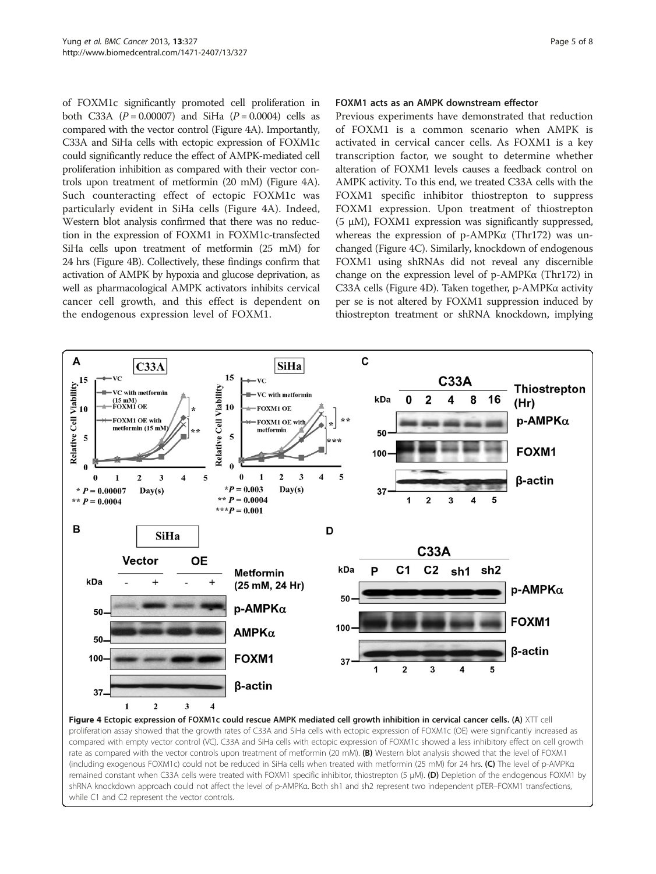of FOXM1c significantly promoted cell proliferation in both C33A ( $P = 0.00007$ ) and SiHa ( $P = 0.0004$ ) cells as compared with the vector control (Figure 4A). Importantly, C33A and SiHa cells with ectopic expression of FOXM1c could significantly reduce the effect of AMPK-mediated cell proliferation inhibition as compared with their vector controls upon treatment of metformin (20 mM) (Figure 4A). Such counteracting effect of ectopic FOXM1c was particularly evident in SiHa cells (Figure 4A). Indeed, Western blot analysis confirmed that there was no reduction in the expression of FOXM1 in FOXM1c-transfected SiHa cells upon treatment of metformin (25 mM) for 24 hrs (Figure 4B). Collectively, these findings confirm that activation of AMPK by hypoxia and glucose deprivation, as well as pharmacological AMPK activators inhibits cervical cancer cell growth, and this effect is dependent on the endogenous expression level of FOXM1.

#### FOXM1 acts as an AMPK downstream effector

Previous experiments have demonstrated that reduction of FOXM1 is a common scenario when AMPK is activated in cervical cancer cells. As FOXM1 is a key transcription factor, we sought to determine whether alteration of FOXM1 levels causes a feedback control on AMPK activity. To this end, we treated C33A cells with the FOXM1 specific inhibitor thiostrepton to suppress FOXM1 expression. Upon treatment of thiostrepton (5 μM), FOXM1 expression was significantly suppressed, whereas the expression of  $p$ -AMPK $\alpha$  (Thr172) was unchanged (Figure 4C). Similarly, knockdown of endogenous FOXM1 using shRNAs did not reveal any discernible change on the expression level of p-AMPKα (Thr172) in C33A cells (Figure 4D). Taken together, p-AMPKα activity per se is not altered by FOXM1 suppression induced by thiostrepton treatment or shRNA knockdown, implying



Figure 4 Ectopic expression of FOXM1c could rescue AMPK mediated cell growth inhibition in cervical cancer cells. (A) XTT cell proliferation assay showed that the growth rates of C33A and SiHa cells with ectopic expression of FOXM1c (OE) were significantly increased as compared with empty vector control (VC). C33A and SiHa cells with ectopic expression of FOXM1c showed a less inhibitory effect on cell growth rate as compared with the vector controls upon treatment of metformin (20 mM). (B) Western blot analysis showed that the level of FOXM1 (including exogenous FOXM1c) could not be reduced in SiHa cells when treated with metformin (25 mM) for 24 hrs. (C) The level of p-AMPKα remained constant when C33A cells were treated with FOXM1 specific inhibitor, thiostrepton (5 μM). (D) Depletion of the endogenous FOXM1 by shRNA knockdown approach could not affect the level of p-AMPKα. Both sh1 and sh2 represent two independent pTER–FOXM1 transfections, while C1 and C2 represent the vector controls.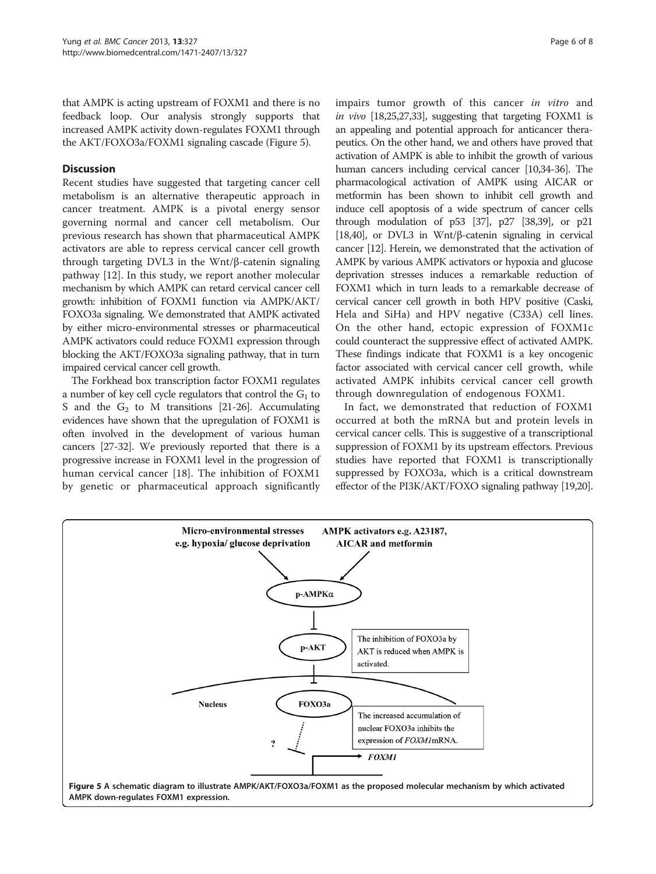that AMPK is acting upstream of FOXM1 and there is no feedback loop. Our analysis strongly supports that increased AMPK activity down-regulates FOXM1 through the AKT/FOXO3a/FOXM1 signaling cascade (Figure 5).

#### **Discussion**

Recent studies have suggested that targeting cancer cell metabolism is an alternative therapeutic approach in cancer treatment. AMPK is a pivotal energy sensor governing normal and cancer cell metabolism. Our previous research has shown that pharmaceutical AMPK activators are able to repress cervical cancer cell growth through targeting DVL3 in the Wnt/β-catenin signaling pathway [[12\]](#page-6-0). In this study, we report another molecular mechanism by which AMPK can retard cervical cancer cell growth: inhibition of FOXM1 function via AMPK/AKT/ FOXO3a signaling. We demonstrated that AMPK activated by either micro-environmental stresses or pharmaceutical AMPK activators could reduce FOXM1 expression through blocking the AKT/FOXO3a signaling pathway, that in turn impaired cervical cancer cell growth.

The Forkhead box transcription factor FOXM1 regulates a number of key cell cycle regulators that control the  $G_1$  to S and the  $G_2$  to M transitions [[21](#page-7-0)-[26](#page-7-0)]. Accumulating evidences have shown that the upregulation of FOXM1 is often involved in the development of various human cancers [\[27-32\]](#page-7-0). We previously reported that there is a progressive increase in FOXM1 level in the progression of human cervical cancer [[18](#page-7-0)]. The inhibition of FOXM1 by genetic or pharmaceutical approach significantly impairs tumor growth of this cancer in vitro and in vivo [\[18,25,27,33](#page-7-0)], suggesting that targeting FOXM1 is an appealing and potential approach for anticancer therapeutics. On the other hand, we and others have proved that activation of AMPK is able to inhibit the growth of various human cancers including cervical cancer [[10](#page-6-0)[,34](#page-7-0)-[36](#page-7-0)]. The pharmacological activation of AMPK using AICAR or metformin has been shown to inhibit cell growth and induce cell apoptosis of a wide spectrum of cancer cells through modulation of p53 [\[37](#page-7-0)], p27 [[38,39\]](#page-7-0), or p21 [[18,40\]](#page-7-0), or DVL3 in Wnt/β-catenin signaling in cervical cancer [\[12\]](#page-6-0). Herein, we demonstrated that the activation of AMPK by various AMPK activators or hypoxia and glucose deprivation stresses induces a remarkable reduction of FOXM1 which in turn leads to a remarkable decrease of cervical cancer cell growth in both HPV positive (Caski, Hela and SiHa) and HPV negative (C33A) cell lines. On the other hand, ectopic expression of FOXM1c could counteract the suppressive effect of activated AMPK. These findings indicate that FOXM1 is a key oncogenic factor associated with cervical cancer cell growth, while activated AMPK inhibits cervical cancer cell growth through downregulation of endogenous FOXM1.

In fact, we demonstrated that reduction of FOXM1 occurred at both the mRNA but and protein levels in cervical cancer cells. This is suggestive of a transcriptional suppression of FOXM1 by its upstream effectors. Previous studies have reported that FOXM1 is transcriptionally suppressed by FOXO3a, which is a critical downstream effector of the PI3K/AKT/FOXO signaling pathway [[19,20](#page-7-0)].

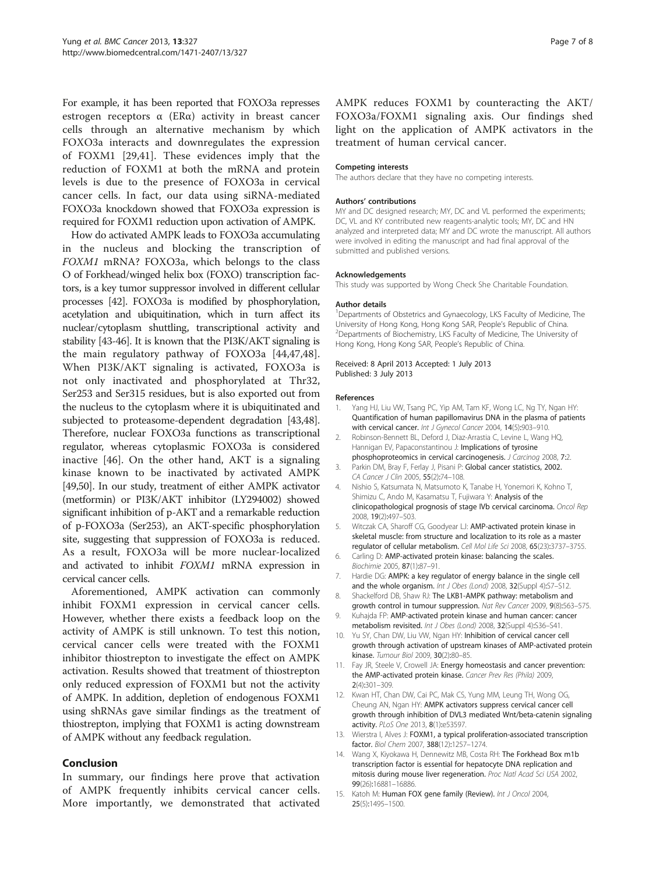<span id="page-6-0"></span>For example, it has been reported that FOXO3a represses estrogen receptors α (ERα) activity in breast cancer cells through an alternative mechanism by which FOXO3a interacts and downregulates the expression of FOXM1 [\[29](#page-7-0),[41\]](#page-7-0). These evidences imply that the reduction of FOXM1 at both the mRNA and protein levels is due to the presence of FOXO3a in cervical cancer cells. In fact, our data using siRNA-mediated FOXO3a knockdown showed that FOXO3a expression is required for FOXM1 reduction upon activation of AMPK.

How do activated AMPK leads to FOXO3a accumulating in the nucleus and blocking the transcription of FOXM1 mRNA? FOXO3a, which belongs to the class O of Forkhead/winged helix box (FOXO) transcription factors, is a key tumor suppressor involved in different cellular processes [\[42\]](#page-7-0). FOXO3a is modified by phosphorylation, acetylation and ubiquitination, which in turn affect its nuclear/cytoplasm shuttling, transcriptional activity and stability [\[43-46\]](#page-7-0). It is known that the PI3K/AKT signaling is the main regulatory pathway of FOXO3a [[44,47,48](#page-7-0)]. When PI3K/AKT signaling is activated, FOXO3a is not only inactivated and phosphorylated at Thr32, Ser253 and Ser315 residues, but is also exported out from the nucleus to the cytoplasm where it is ubiquitinated and subjected to proteasome-dependent degradation [\[43,48](#page-7-0)]. Therefore, nuclear FOXO3a functions as transcriptional regulator, whereas cytoplasmic FOXO3a is considered inactive [[46\]](#page-7-0). On the other hand, AKT is a signaling kinase known to be inactivated by activated AMPK [[49,50\]](#page-7-0). In our study, treatment of either AMPK activator (metformin) or PI3K/AKT inhibitor (LY294002) showed significant inhibition of p-AKT and a remarkable reduction of p-FOXO3a (Ser253), an AKT-specific phosphorylation site, suggesting that suppression of FOXO3a is reduced. As a result, FOXO3a will be more nuclear-localized and activated to inhibit FOXM1 mRNA expression in cervical cancer cells.

Aforementioned, AMPK activation can commonly inhibit FOXM1 expression in cervical cancer cells. However, whether there exists a feedback loop on the activity of AMPK is still unknown. To test this notion, cervical cancer cells were treated with the FOXM1 inhibitor thiostrepton to investigate the effect on AMPK activation. Results showed that treatment of thiostrepton only reduced expression of FOXM1 but not the activity of AMPK. In addition, depletion of endogenous FOXM1 using shRNAs gave similar findings as the treatment of thiostrepton, implying that FOXM1 is acting downstream of AMPK without any feedback regulation.

## Conclusion

In summary, our findings here prove that activation of AMPK frequently inhibits cervical cancer cells. More importantly, we demonstrated that activated

AMPK reduces FOXM1 by counteracting the AKT/ FOXO3a/FOXM1 signaling axis. Our findings shed light on the application of AMPK activators in the treatment of human cervical cancer.

#### Competing interests

The authors declare that they have no competing interests.

#### Authors' contributions

MY and DC designed research; MY, DC and VL performed the experiments; DC, VL and KY contributed new reagents-analytic tools; MY, DC and HN analyzed and interpreted data; MY and DC wrote the manuscript. All authors were involved in editing the manuscript and had final approval of the submitted and published versions.

#### Acknowledgements

This study was supported by Wong Check She Charitable Foundation.

#### Author details

<sup>1</sup>Departments of Obstetrics and Gynaecology, LKS Faculty of Medicine, The University of Hong Kong, Hong Kong SAR, People's Republic of China. <sup>2</sup> <sup>2</sup>Departments of Biochemistry, LKS Faculty of Medicine, The University of Hong Kong, Hong Kong SAR, People's Republic of China.

Received: 8 April 2013 Accepted: 1 July 2013 Published: 3 July 2013

#### References

- 1. Yang HJ, Liu VW, Tsang PC, Yip AM, Tam KF, Wong LC, Ng TY, Ngan HY: Quantification of human papillomavirus DNA in the plasma of patients with cervical cancer. Int J Gynecol Cancer 2004, 14(5):903-910.
- 2. Robinson-Bennett BL, Deford J, Diaz-Arrastia C, Levine L, Wang HQ, Hannigan EV, Papaconstantinou J: Implications of tyrosine phosphoproteomics in cervical carcinogenesis. J Carcinog 2008, 7:2.
- 3. Parkin DM, Bray F, Ferlay J, Pisani P: Global cancer statistics, 2002. CA Cancer J Clin 2005, 55(2):74–108.
- 4. Nishio S, Katsumata N, Matsumoto K, Tanabe H, Yonemori K, Kohno T, Shimizu C, Ando M, Kasamatsu T, Fujiwara Y: Analysis of the clinicopathological prognosis of stage IVb cervical carcinoma. Oncol Rep 2008, 19(2):497–503.
- 5. Witczak CA, Sharoff CG, Goodyear LJ: AMP-activated protein kinase in skeletal muscle: from structure and localization to its role as a master regulator of cellular metabolism. Cell Mol Life Sci 2008, 65(23):3737–3755.
- 6. Carling D: AMP-activated protein kinase: balancing the scales. Biochimie 2005, 87(1):87–91.
- 7. Hardie DG: AMPK: a key regulator of energy balance in the single cell and the whole organism. Int J Obes (Lond) 2008, 32(Suppl 4):S7-S12.
- 8. Shackelford DB, Shaw RJ: The LKB1-AMPK pathway: metabolism and growth control in tumour suppression. Nat Rev Cancer 2009, 9(8):563–575.
- 9. Kuhajda FP: AMP-activated protein kinase and human cancer: cancer metabolism revisited. Int J Obes (Lond) 2008, 32(Suppl 4):S36–S41.
- 10. Yu SY, Chan DW, Liu VW, Ngan HY: Inhibition of cervical cancer cell growth through activation of upstream kinases of AMP-activated protein kinase. Tumour Biol 2009, 30(2):80–85.
- 11. Fay JR, Steele V, Crowell JA: Energy homeostasis and cancer prevention: the AMP-activated protein kinase. Cancer Prev Res (Phila) 2009, 2(4):301–309.
- 12. Kwan HT, Chan DW, Cai PC, Mak CS, Yung MM, Leung TH, Wong OG, Cheung AN, Ngan HY: AMPK activators suppress cervical cancer cell growth through inhibition of DVL3 mediated Wnt/beta-catenin signaling activity. PLoS One 2013, 8(1):e53597.
- 13. Wierstra I, Alves J: FOXM1, a typical proliferation-associated transcription factor. Biol Chem 2007, 388(12):1257–1274.
- 14. Wang X, Kiyokawa H, Dennewitz MB, Costa RH: The Forkhead Box m1b transcription factor is essential for hepatocyte DNA replication and mitosis during mouse liver regeneration. Proc Natl Acad Sci USA 2002, 99(26):16881–16886.
- 15. Katoh M: Human FOX gene family (Review). Int J Oncol 2004, 25(5):1495–1500.